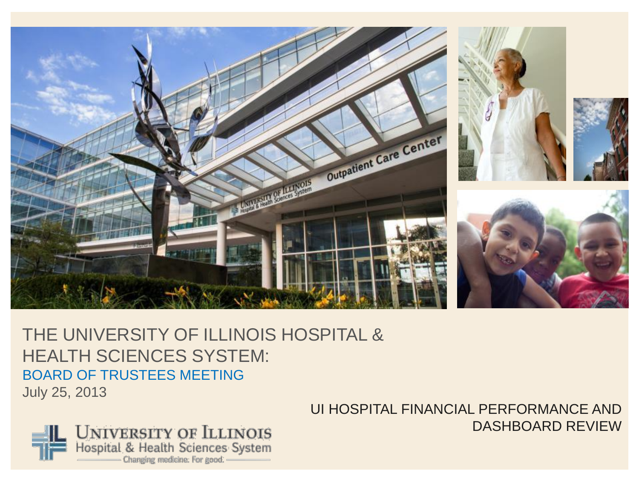

## THE UNIVERSITY OF ILLINOIS HOSPITAL & HEALTH SCIENCES SYSTEM: BOARD OF TRUSTEES MEETING July 25, 2013

**UNIVERSITY OF ILLINOIS**<br>Hospital & Health Sciences System Changing medicine. For good.

UI HOSPITAL FINANCIAL PERFORMANCE AND DASHBOARD REVIEW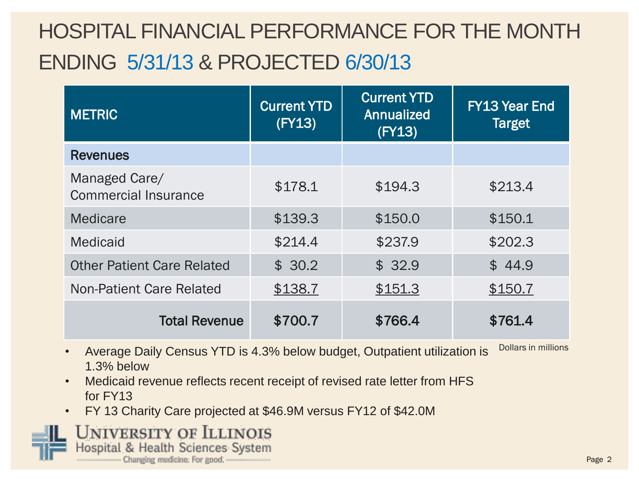## HOSPITAL FINANCIAL PERFORMANCE FOR THE MONTH ENDING 5/31/13 & PROJECTED 6/30/13

| <b>METRIC</b>                                | <b>Current YTD</b><br>(FY13) | <b>Current YTD</b><br><b>Annualized</b><br>(FY13) | <b>FY13 Year End</b><br><b>Target</b> |  |
|----------------------------------------------|------------------------------|---------------------------------------------------|---------------------------------------|--|
| <b>Revenues</b>                              |                              |                                                   |                                       |  |
| Managed Care/<br><b>Commercial Insurance</b> | \$178.1                      | \$194.3                                           | \$213.4                               |  |
| Medicare                                     | \$139.3                      | \$150.0                                           | \$150.1                               |  |
| <b>Medicaid</b>                              | \$214.4                      | \$237.9                                           | \$202.3                               |  |
| <b>Other Patient Care Related</b>            | \$30.2                       | \$32.9                                            | \$44.9                                |  |
| Non-Patient Care Related                     | \$138.7                      | \$151.3                                           | \$150.7                               |  |
| <b>Total Revenue</b>                         | \$700.7                      | \$766.4                                           | \$761.4                               |  |

- Average Daily Census YTD is 4.3% below budget, Outpatient utilization is Dollars in millions 1.3% below
- Medicaid revenue reflects recent receipt of revised rate letter from HFS for FY13
- FY 13 Charity Care projected at \$46.9M versus FY12 of \$42.0M

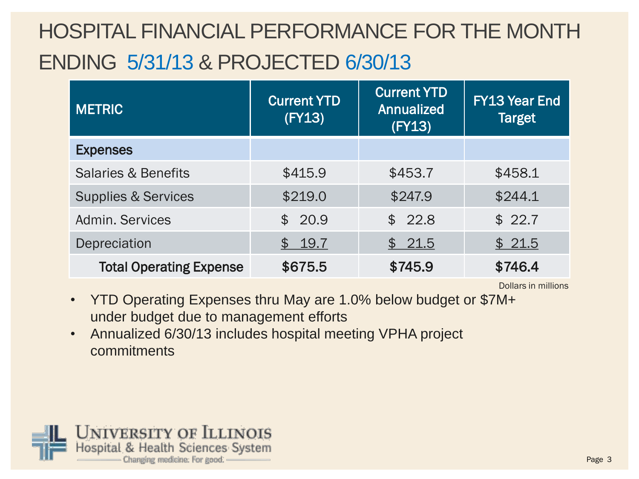## HOSPITAL FINANCIAL PERFORMANCE FOR THE MONTH ENDING 5/31/13 & PROJECTED 6/30/13

| <b>METRIC</b>                  | <b>Current YTD</b><br>(FY13) | <b>Current YTD</b><br><b>Annualized</b><br>(FY13) |         |
|--------------------------------|------------------------------|---------------------------------------------------|---------|
| <b>Expenses</b>                |                              |                                                   |         |
| <b>Salaries &amp; Benefits</b> | \$415.9                      | \$453.7                                           | \$458.1 |
| <b>Supplies &amp; Services</b> | \$219.0                      | \$247.9                                           | \$244.1 |
| Admin, Services                | \$20.9                       | \$22.8                                            | \$22.7  |
| Depreciation                   | \$19.7                       | \$21.5                                            | \$21.5  |
| <b>Total Operating Expense</b> | \$675.5                      | \$745.9                                           | \$746.4 |

Dollars in millions

- YTD Operating Expenses thru May are 1.0% below budget or \$7M+ under budget due to management efforts
- Annualized 6/30/13 includes hospital meeting VPHA project commitments

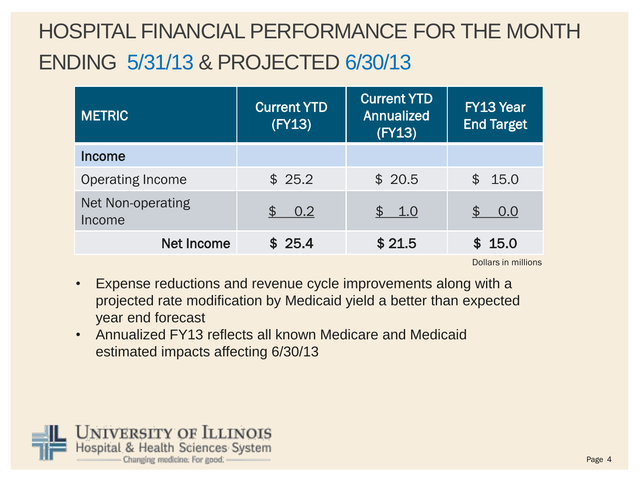## HOSPITAL FINANCIAL PERFORMANCE FOR THE MONTH ENDING 5/31/13 & PROJECTED 6/30/13

| <b>METRIC</b>                      | <b>Current YTD</b><br>(FY13) | <b>Current YTD</b><br>Annualized<br>(FY13) | <b>FY13 Year</b><br><b>End Target</b> |  |
|------------------------------------|------------------------------|--------------------------------------------|---------------------------------------|--|
| <b>Income</b>                      |                              |                                            |                                       |  |
| <b>Operating Income</b>            | \$25.2                       | \$20.5                                     | \$15.0                                |  |
| <b>Net Non-operating</b><br>Income | 0.2<br>\$                    | \$ 1.0                                     | 0.0                                   |  |
| <b>Net Income</b>                  | \$25.4                       | \$21.5                                     | \$15.0                                |  |

Dollars in millions

- Expense reductions and revenue cycle improvements along with a projected rate modification by Medicaid yield a better than expected year end forecast
- Annualized FY13 reflects all known Medicare and Medicaid estimated impacts affecting 6/30/13

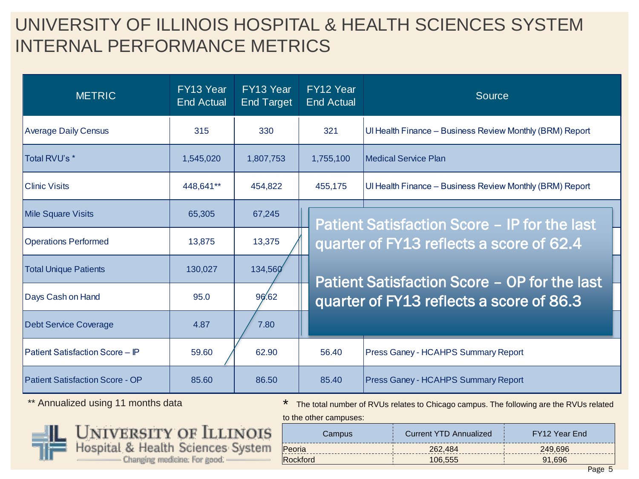## UNIVERSITY OF ILLINOIS HOSPITAL & HEALTH SCIENCES SYSTEM INTERNAL PERFORMANCE METRICS

| <b>METRIC</b>                          | FY13 Year<br>End Actual | FY13 Year<br><b>End Target</b> | FY12 Year<br><b>End Actual</b> | Source                                                   |  |
|----------------------------------------|-------------------------|--------------------------------|--------------------------------|----------------------------------------------------------|--|
| <b>Average Daily Census</b>            | 315                     | 321<br>330                     |                                | Ul Health Finance - Business Review Monthly (BRM) Report |  |
| Total RVU's *                          | 1,545,020               | 1,807,753                      | 1,755,100                      | l Medical Service Plan                                   |  |
| <b>Clinic Visits</b>                   | 448,641**               | 454,822                        | 455,175                        | Ul Health Finance - Business Review Monthly (BRM) Report |  |
| <b>Mile Square Visits</b>              | 65,305                  | 67,245                         |                                | <b>Patient Satisfaction Score - IP for the last</b>      |  |
| <b>Operations Performed</b>            | 13,875                  | 13,375                         |                                | quarter of FY13 reflects a score of 62.4                 |  |
| <b>Total Unique Patients</b>           | 130,027                 | 134,560                        |                                | Patient Satisfaction Score - OP for the last             |  |
| Days Cash on Hand                      | 95.0                    | 96.62                          |                                | quarter of FY13 reflects a score of 86.3                 |  |
| <b>Debt Service Coverage</b>           | 4.87                    | 7.80                           |                                |                                                          |  |
| Patient Satisfaction Score - IP        | 59.60                   | 62.90                          | 56.40                          | Press Ganey - HCAHPS Summary Report                      |  |
| <b>Patient Satisfaction Score - OP</b> | 85.60                   | 86.50                          | 85.40                          | Press Ganey - HCAHPS Summary Report                      |  |

\*\* Annualized using 11 months data



to the other campuses:



| Campus          | <b>Current YTD Annualized</b> | FY12 Year End |
|-----------------|-------------------------------|---------------|
| Peoria          | 262,484                       | 249.696       |
| <b>Rockford</b> | 106.555                       | 91.696        |
|                 |                               | --            |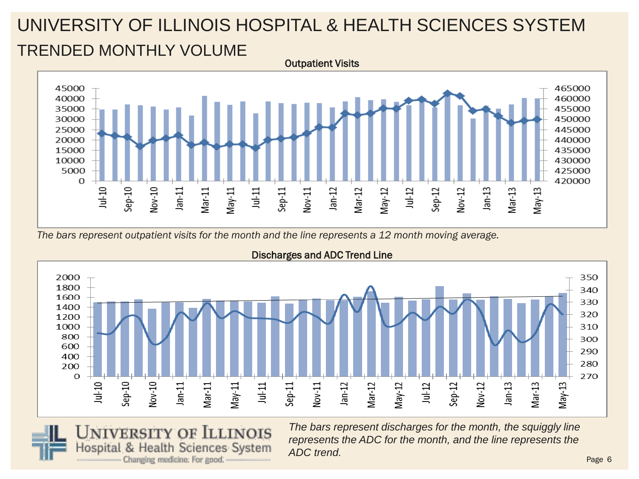## UNIVERSITY OF ILLINOIS HOSPITAL & HEALTH SCIENCES SYSTEM TRENDED MONTHLY VOLUME Outpatient Visits



*The bars represent outpatient visits for the month and the line represents a 12 month moving average.*



#### Discharges and ADC Trend Line



*The bars represent discharges for the month, the squiggly line represents the ADC for the month, and the line represents the ADC trend.*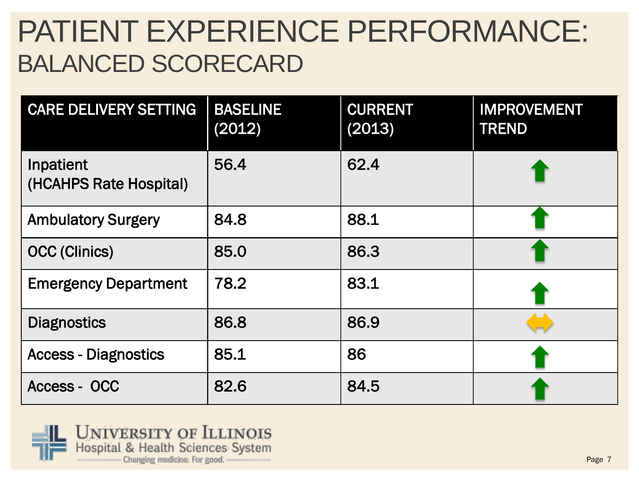# PATIENT EXPERIENCE PERFORMANCE: BALANCED SCORECARD

| <b>CARE DELIVERY SETTING</b>        | <b>BASELINE</b><br>(2012) | <b>CURRENT</b><br>(2013) | <b>IMPROVEMENT</b><br><b>TREND</b> |
|-------------------------------------|---------------------------|--------------------------|------------------------------------|
| Inpatient<br>(HCAHPS Rate Hospital) | 56.4                      | 62.4                     |                                    |
| <b>Ambulatory Surgery</b>           | 84.8                      | 88.1                     |                                    |
| <b>OCC (Clinics)</b>                | 85.0                      | 86.3                     |                                    |
| <b>Emergency Department</b>         | 78.2                      | 83.1                     |                                    |
| <b>Diagnostics</b>                  | 86.8                      | 86.9                     |                                    |
| <b>Access - Diagnostics</b>         | 85.1                      | 86                       |                                    |
| Access - OCC                        | 82.6                      | 84.5                     |                                    |

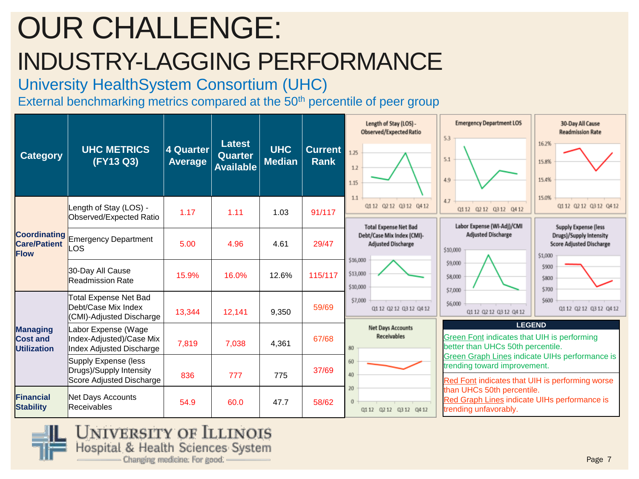# OUR CHALLENGE: INDUSTRY-LAGGING PERFORMANCE

### University HealthSystem Consortium (UHC)

External benchmarking metrics compared at the 50<sup>th</sup> percentile of peer group

| <b>Category</b>                                           | <b>UHC METRICS</b><br>(FY13 Q3)                                                    | <b>4 Quarter</b><br><b>Average</b> | <b>Latest</b><br><b>Quarter</b><br><b>Available</b> | <b>UHC</b><br><b>Median</b> | <b>Current</b><br><b>Rank</b> | Length of Stay (LOS) -<br>Observed/Expected Ratio<br>1.25<br>12<br>1.15                 | <b>Emergency Department LOS</b><br>5.3<br>5.1<br>4.9                                                                              | 30-Day All Cause<br><b>Readmission Rate</b><br>16.2%<br>15.8%<br>15.4%                        |
|-----------------------------------------------------------|------------------------------------------------------------------------------------|------------------------------------|-----------------------------------------------------|-----------------------------|-------------------------------|-----------------------------------------------------------------------------------------|-----------------------------------------------------------------------------------------------------------------------------------|-----------------------------------------------------------------------------------------------|
|                                                           | Length of Stay (LOS) -<br>Observed/Expected Ratio                                  | 1.17                               | 1.11                                                | 1.03                        | 91/117                        | 1.1<br>Q112 Q212 Q312 Q412                                                              | 4.7<br>Q112 Q212 Q312 Q412                                                                                                        | 15.0%<br>Q112 Q212 Q312 Q412                                                                  |
| <b>Coordinating</b><br><b>Care/Patient</b><br><b>Flow</b> | <b>Emergency Department</b><br>LOS                                                 | 5.00                               | 4.96                                                | 4.61                        | 29/47                         | <b>Total Expense Net Bad</b><br>Debt/Case Mix Index (CMI)-<br><b>Adjusted Discharge</b> | Labor Expense (WI-Adj)/CMI<br>Adjusted Discharge<br>\$10,000                                                                      | Supply Expense (less<br>Drugs)/Supply Intensity<br><b>Score Adjusted Discharge</b><br>\$1,000 |
|                                                           | 30-Day All Cause<br><b>Readmission Rate</b>                                        | 15.9%                              | 16.0%                                               | 12.6%                       | 115/117                       | \$16,000<br>\$13,000<br>\$10,000                                                        | \$9,000<br>\$8,000<br>\$7,000                                                                                                     | \$900<br>\$800<br>\$700                                                                       |
|                                                           | Total Expense Net Bad<br>Debt/Case Mix Index<br>(CMI)-Adjusted Discharge           | 13,344                             | 12,141                                              | 9,350                       | 59/69                         | \$7,000<br>01 12 02 12 03 12 04 12                                                      | \$6,000<br>0112 0212 0312 0412                                                                                                    | \$600<br>Q112 Q212 Q312 Q412                                                                  |
| <b>Managing</b><br><b>Cost and</b><br><b>Utilization</b>  | Labor Expense (Wage<br>Index-Adjusted)/Case Mix<br><b>Index Adjusted Discharge</b> | 7,819                              | 7,038                                               | 4,361                       | 67/68                         | Net Days Accounts<br><b>Receivables</b><br>80                                           | <b>LEGEND</b><br>Green Font indicates that UIH is performing<br>better than UHCs 50th percentile.                                 |                                                                                               |
|                                                           | Supply Expense (less<br>Drugs)/Supply Intensity<br>Score Adjusted Discharge        | 836                                | 777                                                 | 775                         | 37/69                         | 60<br>40                                                                                | Green Graph Lines indicate UIHs performance is<br>trending toward improvement.<br>Red Font indicates that UIH is performing worse |                                                                                               |
| <b>Financial</b><br><b>Stability</b>                      | Net Days Accounts<br>Receivables                                                   | 54.9                               | 60.0                                                | 47.7                        | 58/62                         | 20<br>$\theta$<br>Q112 Q212 Q312 Q412                                                   | than UHCs 50th percentile.<br>Red Graph Lines indicate UIHs performance is<br>trending unfavorably.                               |                                                                                               |

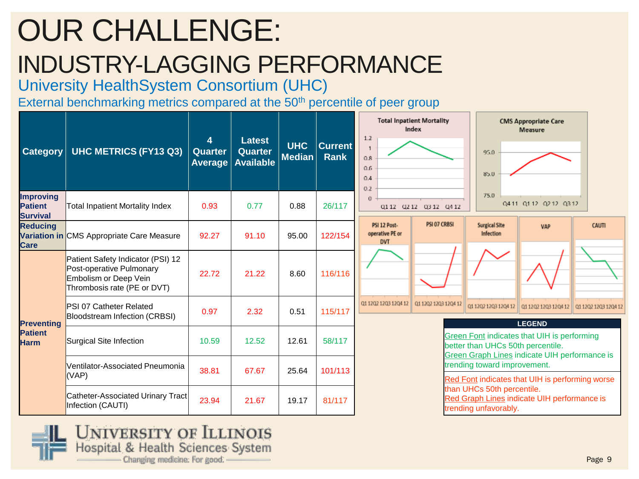# OUR CHALLENGE: INDUSTRY-LAGGING PERFORMANCE

University HealthSystem Consortium (UHC)

External benchmarking metrics compared at the 50<sup>th</sup> percentile of peer group

| <b>Category</b>                                       | <b>UHC METRICS (FY13 Q3)</b>                                                                                          | 4<br>Quarter<br>Average | <b>Latest</b><br><b>Quarter</b><br><b>Available</b> | <b>UHC</b><br><b>Median</b> | <b>Current</b><br><b>Rank</b> | <b>Total Inpatient Mortality</b><br>Index<br>1.2<br>0.8<br>0.6<br>0.4<br>0.2 | <b>CMS Appropriate Care</b><br><b>Measure</b><br>95.0<br>85.0                                                                                      |                      |
|-------------------------------------------------------|-----------------------------------------------------------------------------------------------------------------------|-------------------------|-----------------------------------------------------|-----------------------------|-------------------------------|------------------------------------------------------------------------------|----------------------------------------------------------------------------------------------------------------------------------------------------|----------------------|
| <b>Improving</b><br><b>Patient</b><br><b>Survival</b> | Total Inpatient Mortality Index                                                                                       | 0.93                    | 0.77                                                | 0.88                        | 26/117                        | $\Omega$<br>Q112 Q212 Q312 Q412                                              | 75.0<br>Q411 Q112 Q212 Q312                                                                                                                        |                      |
| <b>Reducing</b><br><b>Care</b>                        | Variation in CMS Appropriate Care Measure                                                                             | 92.27                   | 91.10                                               | 95.00                       | 122/154                       | PSI 07 CRBSI<br>PSI 12 Post-<br>operative PE or<br><b>DVT</b>                | <b>Surgical Site</b><br><b>VAP</b><br>Infection                                                                                                    | CAUTI                |
|                                                       | Patient Safety Indicator (PSI) 12<br>Post-operative Pulmonary<br>Embolism or Deep Vein<br>Thrombosis rate (PE or DVT) | 22.72                   | 21.22                                               | 8.60                        | 116/116                       |                                                                              |                                                                                                                                                    |                      |
|                                                       | <b>PSI 07 Catheter Related</b><br>Bloodstream Infection (CRBSI)                                                       | 0.97                    | 2.32                                                | 0.51                        | 115/117                       | 01 1202 1203 1204 12<br>01 1202 1203 1204 12                                 | 0112021203120412<br>Q1 12Q2 12Q3 12Q4 12                                                                                                           | 01 1202 1203 1204 12 |
| <b>Preventing</b><br><b>Patient</b><br><b>Harm</b>    | Surgical Site Infection                                                                                               | 10.59                   | 12.52                                               | 12.61                       | 58/117                        |                                                                              | <b>LEGEND</b><br>Green Font indicates that UIH is performing<br>better than UHCs 50th percentile.<br>Green Graph Lines indicate UIH performance is |                      |
|                                                       | Ventilator-Associated Pneumonia<br>(VAP)                                                                              | 38.81                   | 67.67                                               | 25.64                       | 101/113                       |                                                                              | trending toward improvement.<br>Red Font indicates that UIH is performing worse                                                                    |                      |
|                                                       | Catheter-Associated Urinary Tract<br>Infection (CAUTI)                                                                | 23.94                   | 21.67                                               | 19.17                       | 81/117                        |                                                                              | than UHCs 50th percentile.<br>Red Graph Lines indicate UIH performance is<br>trending unfavorably.                                                 |                      |